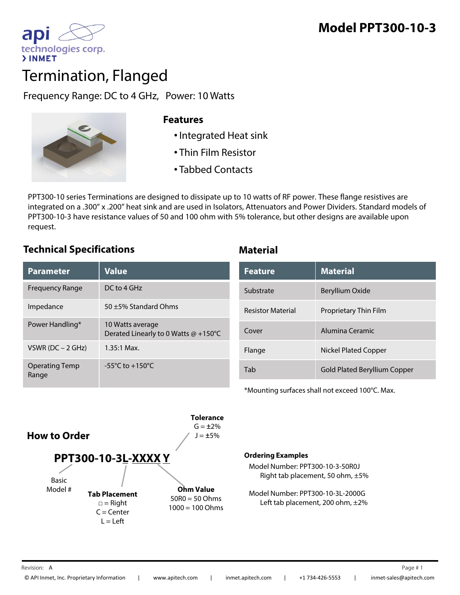

# Termination, Flanged

Frequency Range: DC to 4 GHz, Power: 10 Watts



## **Features**

- •Integrated Heat sink
- Thin Film Resistor
- Tabbed Contacts

PPT300-10 series Terminations are designed to dissipate up to 10 watts of RF power. These flange resistives are integrated on a .300" x .200" heat sink and are used in Isolators, Attenuators and Power Dividers. Standard models of PPT300-10-3 have resistance values of 50 and 100 ohm with 5% tolerance, but other designs are available upon request.

# **Technical Specifications Material**

| <b>Value</b>                                             | <b>Feature</b>           | <b>Material</b>                     |
|----------------------------------------------------------|--------------------------|-------------------------------------|
| $DC$ to 4 GHz                                            | Substrate                | Beryllium Oxide                     |
| 50 $\pm$ 5% Standard Ohms                                | <b>Resistor Material</b> | Proprietary Thin Film               |
| 10 Watts average<br>Derated Linearly to 0 Watts @ +150°C | Cover                    | Alumina Ceramic                     |
| $1.35:1$ Max.                                            | Flange                   | <b>Nickel Plated Copper</b>         |
| $-55^{\circ}$ C to $+150^{\circ}$ C                      | Tab                      | <b>Gold Plated Beryllium Copper</b> |
|                                                          |                          |                                     |

| <b>Feature</b>           | <b>Material</b>              |
|--------------------------|------------------------------|
| Substrate                | Beryllium Oxide              |
| <b>Resistor Material</b> | Proprietary Thin Film        |
| Cover                    | Alumina Ceramic              |
| Flange                   | <b>Nickel Plated Copper</b>  |
| Tah                      | Gold Plated Beryllium Copper |

\*Mounting surfaces shall not exceed 100°C. Max.



### **Ordering Examples**

Model Number: PPT300-10-3-50R0J Right tab placement, 50 ohm, ±5%

Model Number: PPT300-10-3L-2000G Left tab placement, 200 ohm, ±2%